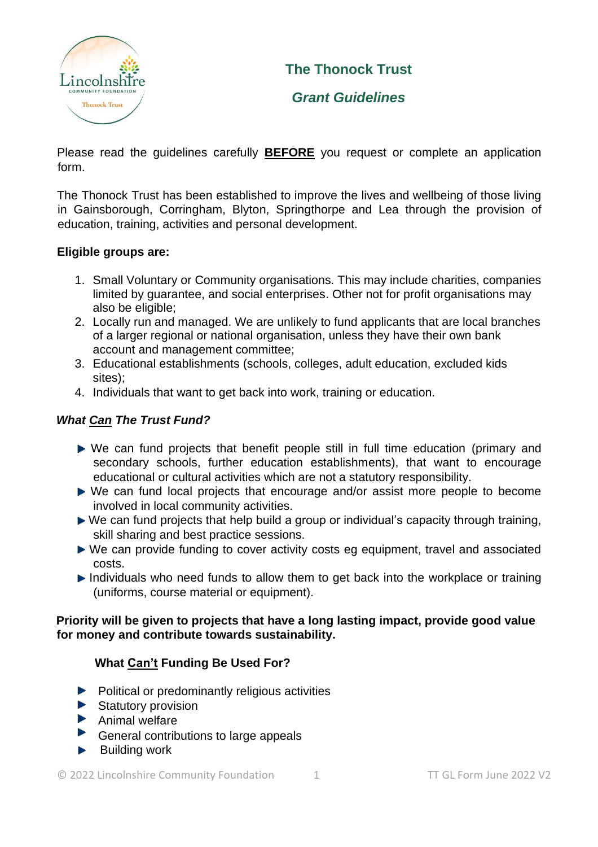

# **The Thonock Trust**

# *Grant Guidelines*

Please read the guidelines carefully **BEFORE** you request or complete an application form.

The Thonock Trust has been established to improve the lives and wellbeing of those living in Gainsborough, Corringham, Blyton, Springthorpe and Lea through the provision of education, training, activities and personal development.

#### **Eligible groups are:**

- 1. Small Voluntary or Community organisations. This may include charities, companies limited by guarantee, and social enterprises. Other not for profit organisations may also be eligible;
- 2. Locally run and managed. We are unlikely to fund applicants that are local branches of a larger regional or national organisation, unless they have their own bank account and management committee;
- 3. Educational establishments (schools, colleges, adult education, excluded kids sites);
- 4. Individuals that want to get back into work, training or education.

## *What Can The Trust Fund?*

- We can fund projects that benefit people still in full time education (primary and secondary schools, further education establishments), that want to encourage educational or cultural activities which are not a statutory responsibility.
- ▶ We can fund local projects that encourage and/or assist more people to become involved in local community activities.
- ► We can fund projects that help build a group or individual's capacity through training, skill sharing and best practice sessions.
- ▶ We can provide funding to cover activity costs eg equipment, travel and associated costs.
- Individuals who need funds to allow them to get back into the workplace or training (uniforms, course material or equipment).

#### **Priority will be given to projects that have a long lasting impact, provide good value for money and contribute towards sustainability.**

### **What Can't Funding Be Used For?**

- $\blacktriangleright$  Political or predominantly religious activities
- $\blacktriangleright$  Statutory provision
- $\blacktriangleright$  Animal welfare
- ▶ General contributions to large appeals
- $\blacktriangleright$  Building work